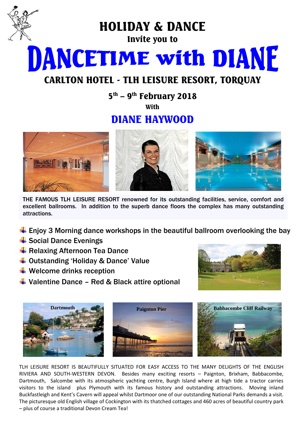

HOLIDAY & DANCE

Invite you to

**DANCETIME with DIANE** 

# CARLTON HOTEL - TLH LEISURE RESORT, TORQUAY

 $5^{\text{th}}$  –  $9^{\text{th}}$  February 2018

**With** 

# DIANE HAYWOOD



THE FAMOUS TLH LEISURE RESORT renowned for its outstanding facilities, service, comfort and excellent ballrooms. In addition to the superb dance floors the complex has many outstanding attractions.

- $\ddot{\bullet}$  Enjoy 3 Morning dance workshops in the beautiful ballroom overlooking the bay
- $\frac{1}{2}$  Social Dance Evenings
- **E** Relaxing Afternoon Tea Dance
- $\triangleq$  Outstanding 'Holiday & Dance' Value
- $\bigstar$  Welcome drinks reception
- $\downarrow$  Valentine Dance Red & Black attire optional





TLH LEISURE RESORT IS BEAUTIFULLY SITUATED FOR EASY ACCESS TO THE MANY DELIGHTS OF THE ENGLISH RIVIERA AND SOUTH-WESTERN DEVON. Besides many exciting resorts – Paignton, Brixham, Babbacombe, Dartmouth, Salcombe with its atmospheric yachting centre, Burgh Island where at high tide a tractor carries visitors to the island plus Plymouth with its famous history and outstanding attractions. Moving inland Buckfastleigh and Kent's Cavern will appeal whilst Dartmoor one of our outstanding National Parks demands a visit. The picturesque old English village of Cockington with its thatched cottages and 460 acres of beautiful country park – plus of course a traditional Devon Cream Tea!